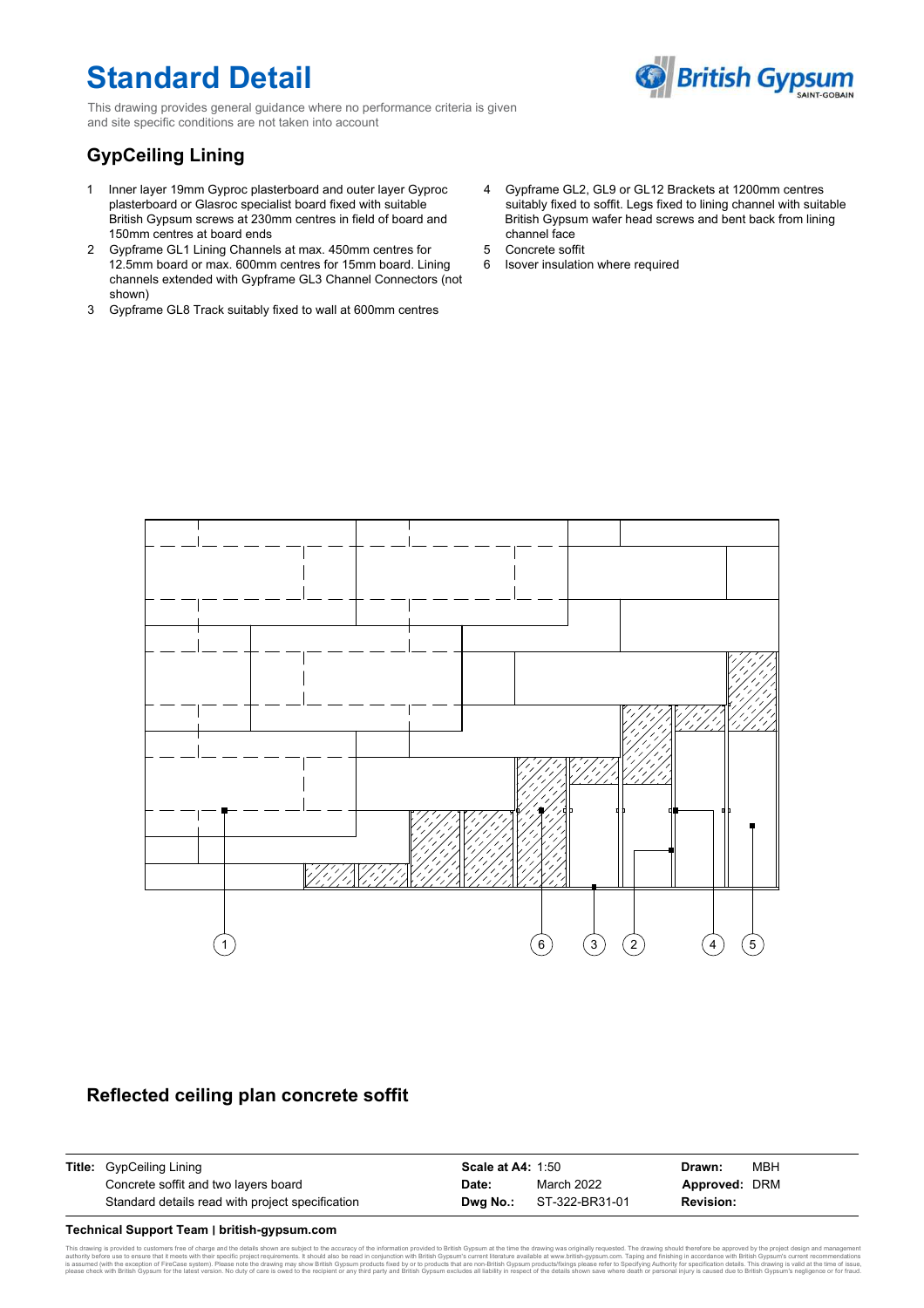# **Standard Detail**

**British Gypsum** 

This drawing provides general guidance where no performance criteria is given and site specific conditions are not taken into account

## **GypCeiling Lining**

- Inner layer 19mm Gyproc plasterboard and outer layer Gyproc 1 plasterboard or Glasroc specialist board fixed with suitable British Gypsum screws at 230mm centres in field of board and 150mm centres at board ends
- Gypframe GL1 Lining Channels at max. 450mm centres for 2 12.5mm board or max. 600mm centres for 15mm board. Lining channels extended with Gypframe GL3 Channel Connectors (not shown)
- Gypframe GL8 Track suitably fixed to wall at 600mm centres 3
- Gypframe GL2, GL9 or GL12 Brackets at 1200mm centres 4 suitably fixed to soffit. Legs fixed to lining channel with suitable British Gypsum wafer head screws and bent back from lining channel face
- Concrete soffit 5
- 6 Isover insulation where required



## **Reflected ceiling plan concrete soffit**

| <b>Title:</b> GypCeiling Lining                  | <b>Scale at A4: 1:50</b> |                                | Drawn:           | мвн |
|--------------------------------------------------|--------------------------|--------------------------------|------------------|-----|
| Concrete soffit and two layers board             | Date:                    | March 2022                     | Approved: DRM    |     |
| Standard details read with project specification |                          | <b>Dwa No.:</b> ST-322-BR31-01 | <b>Revision:</b> |     |

#### **Technical Support Team ׀ british-gypsum.com**

ng is provided to customers free of charge and the details shown are subject to the accuracy of the information provided to British Gypsum at the time the drawing was originally requested. The drawing should therefore be a authorily before use to ensure that it meets with their specific project requirements. It should also be read in conjunction with British Cypsum's current literature available at www.british-gypsum.com. Taping and finishin